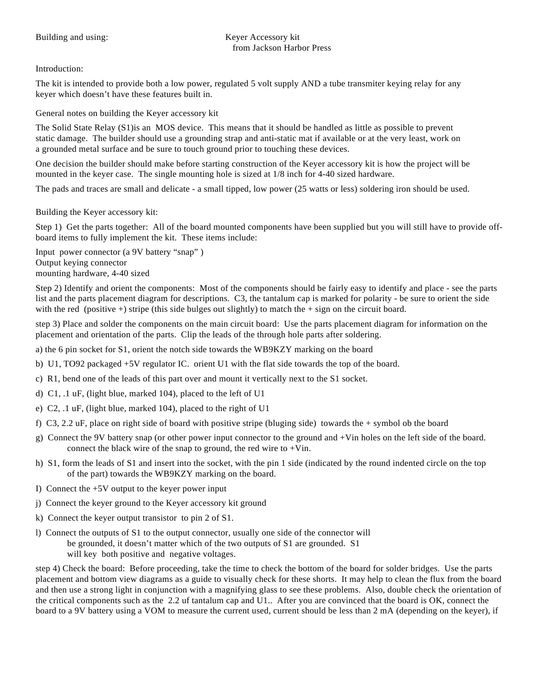Introduction:

The kit is intended to provide both a low power, regulated 5 volt supply AND a tube transmiter keying relay for any keyer which doesn't have these features built in.

General notes on building the Keyer accessory kit

The Solid State Relay (S1)is an MOS device. This means that it should be handled as little as possible to prevent static damage. The builder should use a grounding strap and anti-static mat if available or at the very least, work on a grounded metal surface and be sure to touch ground prior to touching these devices.

One decision the builder should make before starting construction of the Keyer accessory kit is how the project will be mounted in the keyer case. The single mounting hole is sized at 1/8 inch for 4-40 sized hardware.

The pads and traces are small and delicate - a small tipped, low power (25 watts or less) soldering iron should be used.

Building the Keyer accessory kit:

Step 1) Get the parts together: All of the board mounted components have been supplied but you will still have to provide offboard items to fully implement the kit. These items include:

Input power connector (a 9V battery "snap" ) Output keying connector mounting hardware, 4-40 sized

Step 2) Identify and orient the components: Most of the components should be fairly easy to identify and place - see the parts list and the parts placement diagram for descriptions. C3, the tantalum cap is marked for polarity - be sure to orient the side with the red (positive  $+$ ) stripe (this side bulges out slightly) to match the  $+$  sign on the circuit board.

step 3) Place and solder the components on the main circuit board: Use the parts placement diagram for information on the placement and orientation of the parts. Clip the leads of the through hole parts after soldering.

a) the 6 pin socket for S1, orient the notch side towards the WB9KZY marking on the board

- b) U1, TO92 packaged +5V regulator IC. orient U1 with the flat side towards the top of the board.
- c) R1, bend one of the leads of this part over and mount it vertically next to the S1 socket.
- d) C1, .1 uF, (light blue, marked 104), placed to the left of U1
- e) C2, .1 uF, (light blue, marked 104), placed to the right of U1
- f) C3, 2.2 uF, place on right side of board with positive stripe (bluging side) towards the + symbol ob the board
- g) Connect the 9V battery snap (or other power input connector to the ground and +Vin holes on the left side of the board. connect the black wire of the snap to ground, the red wire to +Vin.
- h) S1, form the leads of S1 and insert into the socket, with the pin 1 side (indicated by the round indented circle on the top of the part) towards the WB9KZY marking on the board.
- I) Connect the +5V output to the keyer power input
- j) Connect the keyer ground to the Keyer accessory kit ground
- k) Connect the keyer output transistor to pin 2 of S1.
- l) Connect the outputs of S1 to the output connector, usually one side of the connector will be grounded, it doesn't matter which of the two outputs of S1 are grounded. S1 will key both positive and negative voltages.

step 4) Check the board: Before proceeding, take the time to check the bottom of the board for solder bridges. Use the parts placement and bottom view diagrams as a guide to visually check for these shorts. It may help to clean the flux from the board and then use a strong light in conjunction with a magnifying glass to see these problems. Also, double check the orientation of the critical components such as the 2.2 uf tantalum cap and U1.. After you are convinced that the board is OK, connect the board to a 9V battery using a VOM to measure the current used, current should be less than 2 mA (depending on the keyer), if